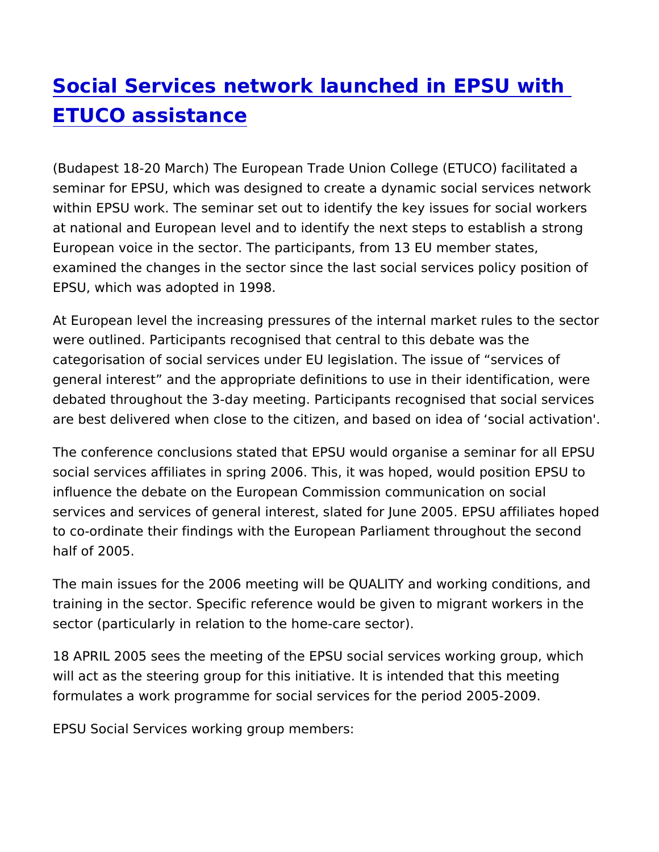## [Social Services network launched in E](https://www.epsu.org/article/social-services-network-launched-epsu-etuco-assistance)PSU v [ETUCO assista](https://www.epsu.org/article/social-services-network-launched-epsu-etuco-assistance)nce

(Budapest 18-20 March) The European Trade Union College (ETUC seminar for EPSU, which was designed to create a dynamic social within EPSU work. The seminar set out to identify the key issues at national and European level and to identify the next steps to e European voice in the sector. The participants, from 13 EU member examined the changes in the sector since the last social services EPSU, which was adopted in 1998.

At European level the increasing pressures of the internal market were outlined. Participants recognised that central to this debate categorisation of social services under EU legislation. The issue general interest and the appropriate definitions to use in their identification. debated throughout the 3-day meeting. Participants recognised th are best delivered when close to the citizen, and based on idea o

The conference conclusions stated that EPSU would organise a se social services affiliates in spring 2006. This, it was hoped, woul influence the debate on the European Commission communication services and services of general interest, slated for June 2005. E to co-ordinate their findings with the European Parliament throug half of 2005.

The main issues for the 2006 meeting will be QUALITY and workin training in the sector. Specific reference would be given to migra sector (particularly in relation to the home-care sector).

18 APRIL 2005 sees the meeting of the EPSU social services work will act as the steering group for this initiative. It is intended that formulates a work programme for social services for the period 20

EPSU Social Services working group members: